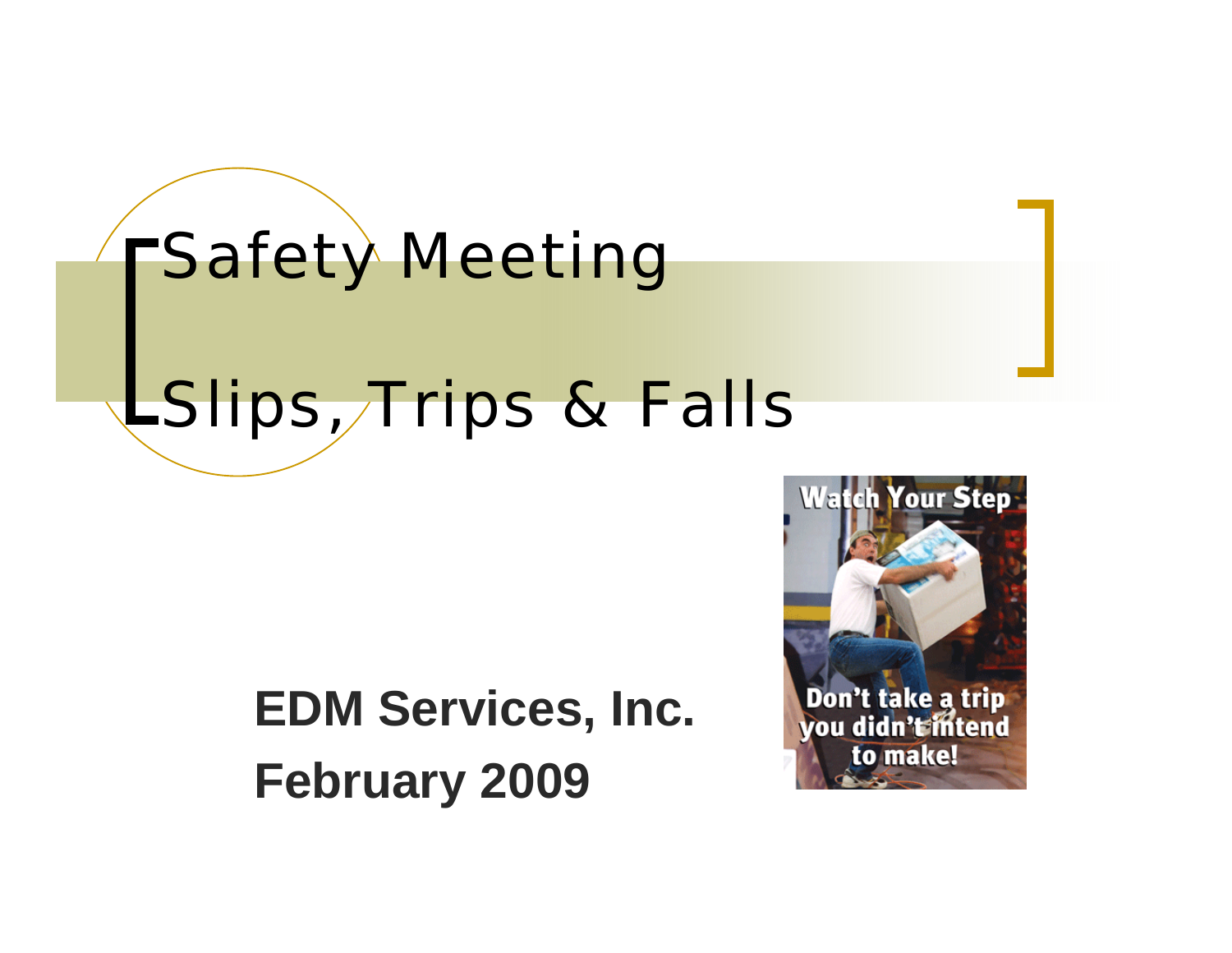

### **EDM Services, Inc. February 2009**

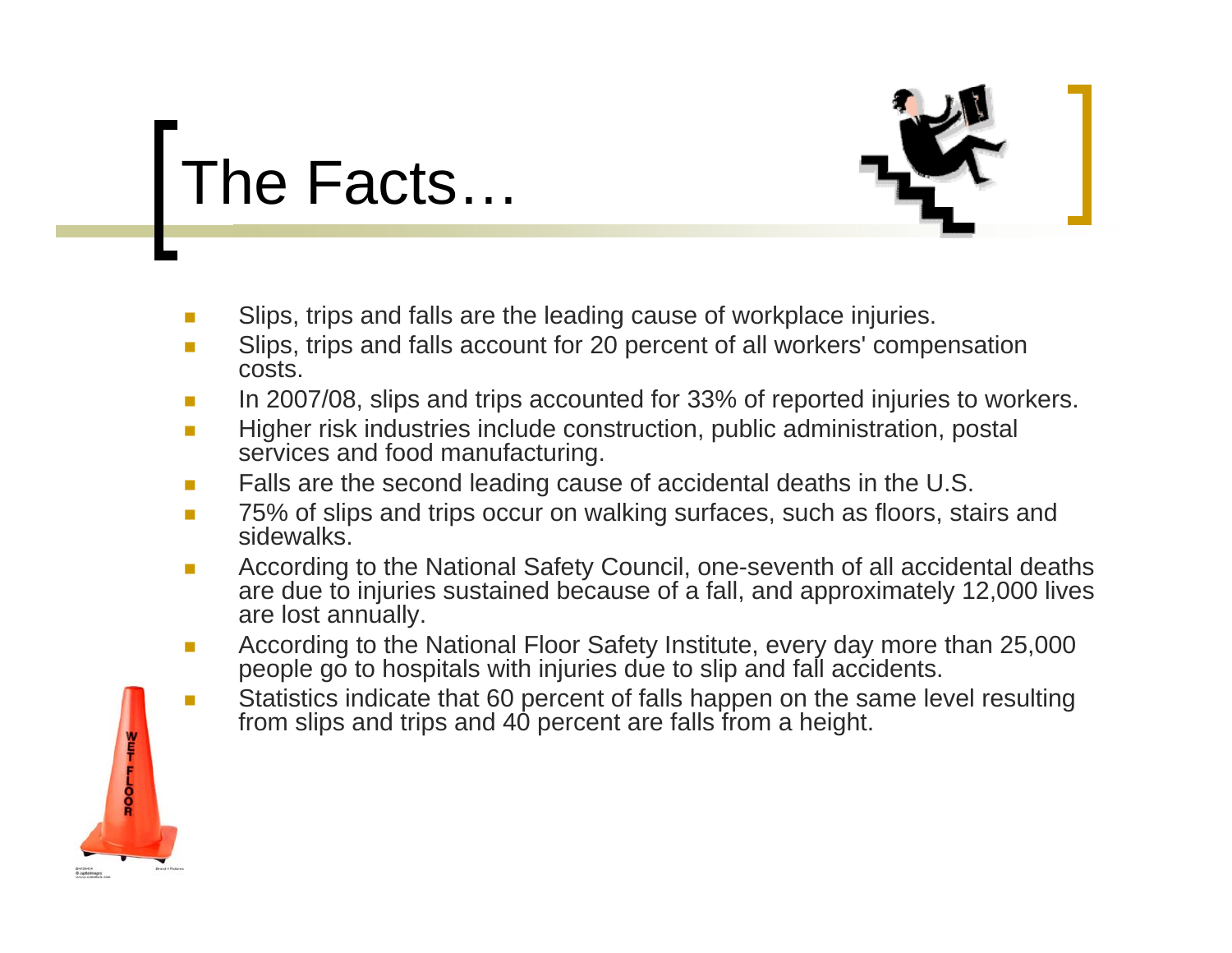# The Facts…

- $\mathcal{C}_{\mathcal{A}}$ Slips, trips and falls are the leading cause of workplace injuries.
- $\mathbb{R}^n$  Slips, trips and falls account for 20 percent of all workers' compensation costs.
- $\mathcal{L}_{\mathcal{A}}$ In 2007/08, slips and trips accounted for 33% of reported injuries to workers.
- $\overline{\phantom{a}}$  Higher risk industries include construction, public administration, postal services and food manufacturing.
- $\mathcal{C}^{\mathcal{A}}$ Falls are the second leading cause of accidental deaths in the U.S.
- $\overline{\phantom{a}}$  75% of slips and trips occur on walking surfaces, such as floors, stairs and sidewalks<sup>'</sup>
- $\mathcal{L}_{\mathcal{A}}$  According to the National Safety Council, one-seventh of all accidental deaths are due to injuries sustained because of a fall, and approximately 12,000 lives are lost annually.
- $\mathcal{C}^{\mathcal{A}}$  According to the National Floor Safety Institute, every day more than 25,000 people go to hospitals with injuries due to slip and fall accidents.
- $\mathcal{C}^{\mathcal{A}}$ **Statistics indicate that 60 percent of falls happen on the same level resulting** from slips and trips and 40 percent are falls from a height.

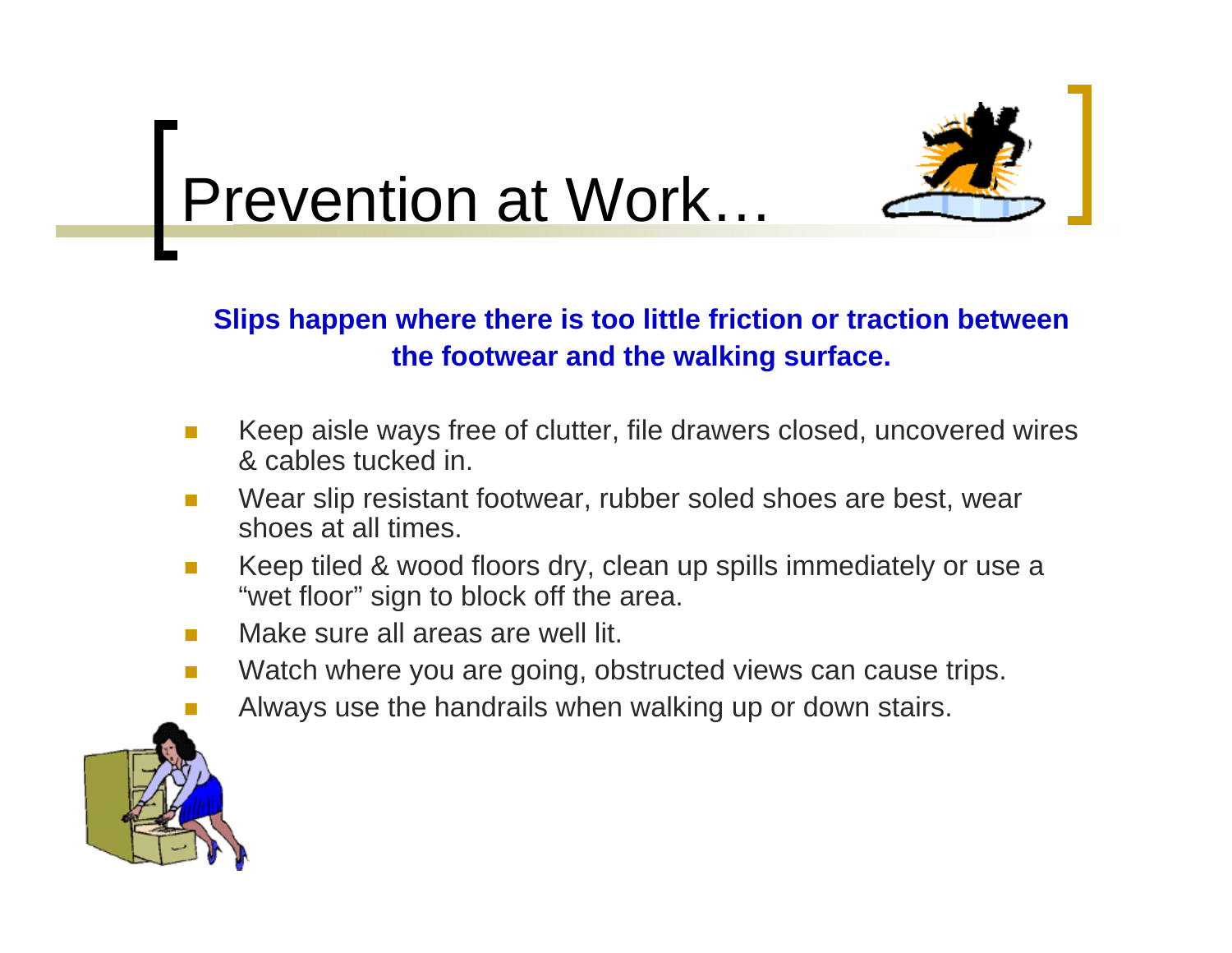

## Prevention at Work…

#### **Slips happen where there is too little friction or traction between the footwear and the walking surface.**

- $\mathcal{L}^{\mathcal{L}}$  Keep aisle ways free of clutter, file drawers closed, uncovered wires & cables tucked in.
- $\mathcal{L}_{\mathcal{A}}$  Wear slip resistant footwear, rubber soled shoes are best, wear shoes at all times.
- $\mathcal{L}^{\mathcal{L}}$  Keep tiled & wood floors dry, clean up spills immediately or use <sup>a</sup> "wet floor" sign to block off the area.
- $\mathcal{L}^{\mathcal{L}}$ Make sure all areas are well lit.
- T. Watch where you are going, obstructed views can cause trips.
- Always use the handrails when walking up or down stairs.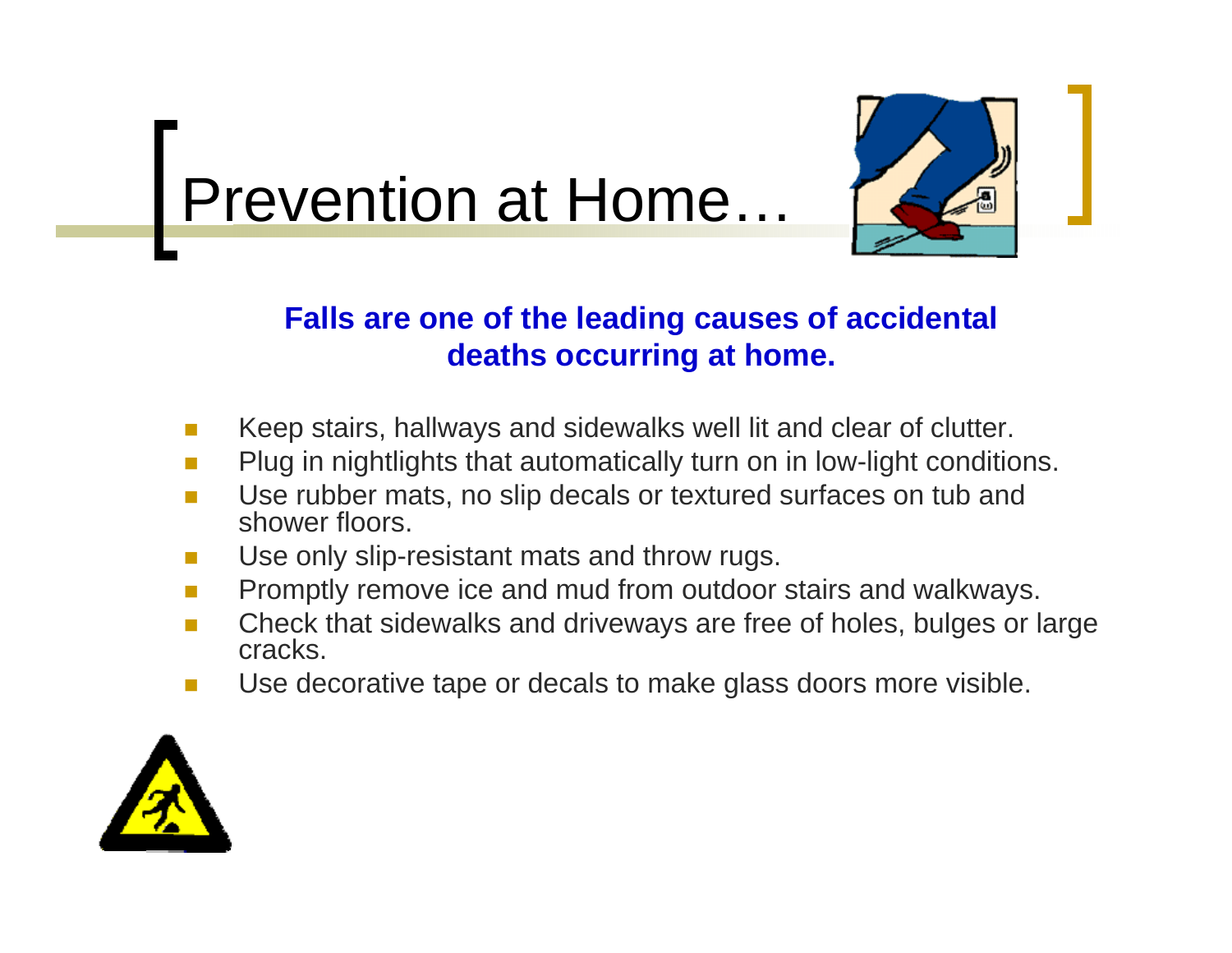



### **Falls are one of the leading causes of accidental deaths occurring at home.**

- **I** Keep stairs, hallways and sidewalks well lit and clear of clutter.
- **The State** Plug in nightlights that automatically turn on in low-light conditions.
- F Use rubber mats, no slip decals or textured surfaces on tub and shower floors.
- **C** Use only slip-resistant mats and throw rugs.
- $\mathcal{L}^{\mathcal{L}}$ Promptly remove ice and mud from outdoor stairs and walkways.
- **I**  Check that sidewalks and driveways are free of holes, bulges or large cracks.
- T. Use decorative tape or decals to make glass doors more visible.